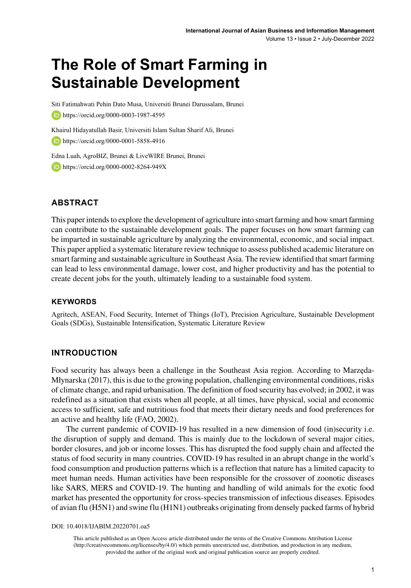# **The Role of Smart Farming in Sustainable Development**

Siti Fatimahwati Pehin Dato Musa, Universiti Brunei Darussalam, Brunei **b** https://orcid.org/0000-0003-1987-4595

Khairul Hidayatullah Basir, Universiti Islam Sultan Sharif Ali, Brunei https://orcid.org/0000-0001-5858-4916

Edna Luah, AgroBIZ, Brunei & LiveWIRE Brunei, Brunei

**b** https://orcid.org/0000-0002-8264-949X

### **ABSTRACT**

This paper intends to explore the development of agriculture into smart farming and how smart farming can contribute to the sustainable development goals. The paper focuses on how smart farming can be imparted in sustainable agriculture by analyzing the environmental, economic, and social impact. This paper applied a systematic literature review technique to assess published academic literature on smart farming and sustainable agriculture in Southeast Asia. The review identified that smart farming can lead to less environmental damage, lower cost, and higher productivity and has the potential to create decent jobs for the youth, ultimately leading to a sustainable food system.

#### **Keywords**

Agritech, ASEAN, Food Security, Internet of Things (IoT), Precision Agriculture, Sustainable Development Goals (SDGs), Sustainable Intensification, Systematic Literature Review

#### **INTRODUCTION**

Food security has always been a challenge in the Southeast Asia region. According to Marzęda-Młynarska (2017), this is due to the growing population, challenging environmental conditions, risks of climate change, and rapid urbanisation. The definition of food security has evolved; in 2002, it was redefined as a situation that exists when all people, at all times, have physical, social and economic access to sufficient, safe and nutritious food that meets their dietary needs and food preferences for an active and healthy life (FAO, 2002).

The current pandemic of COVID-19 has resulted in a new dimension of food (in)security i.e. the disruption of supply and demand. This is mainly due to the lockdown of several major cities, border closures, and job or income losses. This has disrupted the food supply chain and affected the status of food security in many countries. COVID-19 has resulted in an abrupt change in the world's food consumption and production patterns which is a reflection that nature has a limited capacity to meet human needs. Human activities have been responsible for the crossover of zoonotic diseases like SARS, MERS and COVID-19. The hunting and handling of wild animals for the exotic food market has presented the opportunity for cross-species transmission of infectious diseases. Episodes of avian flu (H5N1) and swine flu (H1N1) outbreaks originating from densely packed farms of hybrid

DOI: 10.4018/IJABIM.20220701.oa5

This article published as an Open Access article distributed under the terms of the Creative Commons Attribution License (http://creativecommons.org/licenses/by/4.0/) which permits unrestricted use, distribution, and production in any medium, provided the author of the original work and original publication source are properly credited.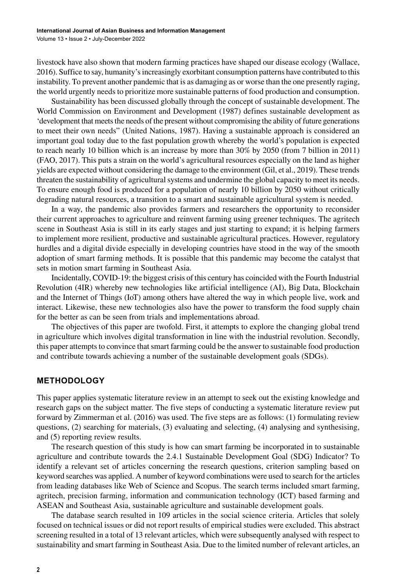Volume 13 • Issue 2 • July-December 2022

livestock have also shown that modern farming practices have shaped our disease ecology (Wallace, 2016). Suffice to say, humanity's increasingly exorbitant consumption patterns have contributed to this instability. To prevent another pandemic that is as damaging as or worse than the one presently raging, the world urgently needs to prioritize more sustainable patterns of food production and consumption.

Sustainability has been discussed globally through the concept of sustainable development. The World Commission on Environment and Development (1987) defines sustainable development as 'development that meets the needs of the present without compromising the ability of future generations to meet their own needs" (United Nations, 1987). Having a sustainable approach is considered an important goal today due to the fast population growth whereby the world's population is expected to reach nearly 10 billion which is an increase by more than 30% by 2050 (from 7 billion in 2011) (FAO, 2017). This puts a strain on the world's agricultural resources especially on the land as higher yields are expected without considering the damage to the environment (Gil, et al., 2019). These trends threaten the sustainability of agricultural systems and undermine the global capacity to meet its needs. To ensure enough food is produced for a population of nearly 10 billion by 2050 without critically degrading natural resources, a transition to a smart and sustainable agricultural system is needed.

In a way, the pandemic also provides farmers and researchers the opportunity to reconsider their current approaches to agriculture and reinvent farming using greener techniques. The agritech scene in Southeast Asia is still in its early stages and just starting to expand; it is helping farmers to implement more resilient, productive and sustainable agricultural practices. However, regulatory hurdles and a digital divide especially in developing countries have stood in the way of the smooth adoption of smart farming methods. It is possible that this pandemic may become the catalyst that sets in motion smart farming in Southeast Asia.

Incidentally, COVID-19: the biggest crisis of this century has coincided with the Fourth Industrial Revolution (4IR) whereby new technologies like artificial intelligence (AI), Big Data, Blockchain and the Internet of Things (IoT) among others have altered the way in which people live, work and interact. Likewise, these new technologies also have the power to transform the food supply chain for the better as can be seen from trials and implementations abroad.

The objectives of this paper are twofold. First, it attempts to explore the changing global trend in agriculture which involves digital transformation in line with the industrial revolution. Secondly, this paper attempts to convince that smart farming could be the answer to sustainable food production and contribute towards achieving a number of the sustainable development goals (SDGs).

### **METHODOLOGY**

This paper applies systematic literature review in an attempt to seek out the existing knowledge and research gaps on the subject matter. The five steps of conducting a systematic literature review put forward by Zimmerman et al. (2016) was used. The five steps are as follows: (1) formulating review questions, (2) searching for materials, (3) evaluating and selecting, (4) analysing and synthesising, and (5) reporting review results.

The research question of this study is how can smart farming be incorporated in to sustainable agriculture and contribute towards the 2.4.1 Sustainable Development Goal (SDG) Indicator? To identify a relevant set of articles concerning the research questions, criterion sampling based on keyword searches was applied. A number of keyword combinations were used to search for the articles from leading databases like Web of Science and Scopus. The search terms included smart farming, agritech, precision farming, information and communication technology (ICT) based farming and ASEAN and Southeast Asia, sustainable agriculture and sustainable development goals.

The database search resulted in 109 articles in the social science criteria. Articles that solely focused on technical issues or did not report results of empirical studies were excluded. This abstract screening resulted in a total of 13 relevant articles, which were subsequently analysed with respect to sustainability and smart farming in Southeast Asia. Due to the limited number of relevant articles, an